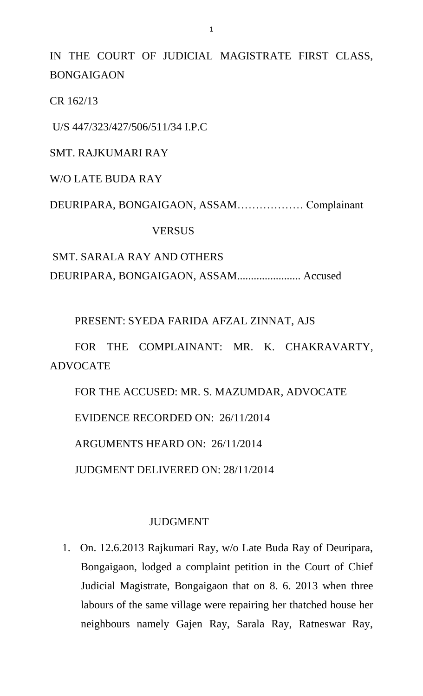IN THE COURT OF JUDICIAL MAGISTRATE FIRST CLASS, BONGAIGAON

CR 162/13

U/S 447/323/427/506/511/34 I.P.C

# SMT. RAJKUMARI RAY

W/O LATE BUDA RAY

DEURIPARA, BONGAIGAON, ASSAM……………… Complainant

## **VERSUS**

SMT. SARALA RAY AND OTHERS DEURIPARA, BONGAIGAON, ASSAM....................... Accused

PRESENT: SYEDA FARIDA AFZAL ZINNAT, AJS

FOR THE COMPLAINANT: MR. K. CHAKRAVARTY, ADVOCATE

FOR THE ACCUSED: MR. S. MAZUMDAR, ADVOCATE EVIDENCE RECORDED ON: 26/11/2014 ARGUMENTS HEARD ON: 26/11/2014

JUDGMENT DELIVERED ON: 28/11/2014

### JUDGMENT

1. On. 12.6.2013 Rajkumari Ray, w/o Late Buda Ray of Deuripara, Bongaigaon, lodged a complaint petition in the Court of Chief Judicial Magistrate, Bongaigaon that on 8. 6. 2013 when three labours of the same village were repairing her thatched house her neighbours namely Gajen Ray, Sarala Ray, Ratneswar Ray,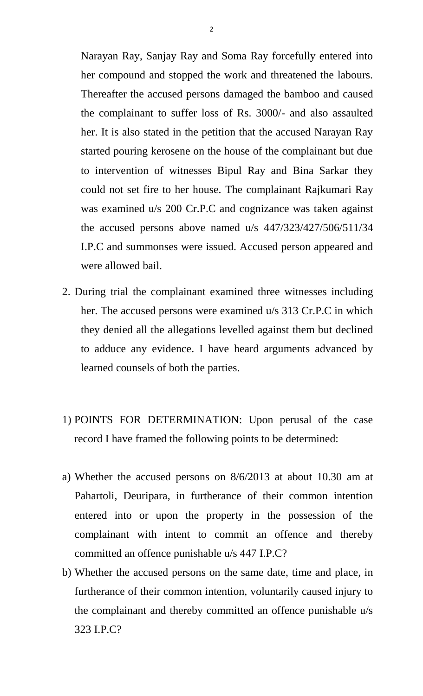Narayan Ray, Sanjay Ray and Soma Ray forcefully entered into her compound and stopped the work and threatened the labours. Thereafter the accused persons damaged the bamboo and caused the complainant to suffer loss of Rs. 3000/- and also assaulted her. It is also stated in the petition that the accused Narayan Ray started pouring kerosene on the house of the complainant but due to intervention of witnesses Bipul Ray and Bina Sarkar they could not set fire to her house. The complainant Rajkumari Ray was examined u/s 200 Cr.P.C and cognizance was taken against the accused persons above named u/s 447/323/427/506/511/34 I.P.C and summonses were issued. Accused person appeared and were allowed bail.

- 2. During trial the complainant examined three witnesses including her. The accused persons were examined u/s 313 Cr.P.C in which they denied all the allegations levelled against them but declined to adduce any evidence. I have heard arguments advanced by learned counsels of both the parties.
- 1) POINTS FOR DETERMINATION: Upon perusal of the case record I have framed the following points to be determined:
- a) Whether the accused persons on 8/6/2013 at about 10.30 am at Pahartoli, Deuripara, in furtherance of their common intention entered into or upon the property in the possession of the complainant with intent to commit an offence and thereby committed an offence punishable u/s 447 I.P.C?
- b) Whether the accused persons on the same date, time and place, in furtherance of their common intention, voluntarily caused injury to the complainant and thereby committed an offence punishable u/s 323 I.P.C?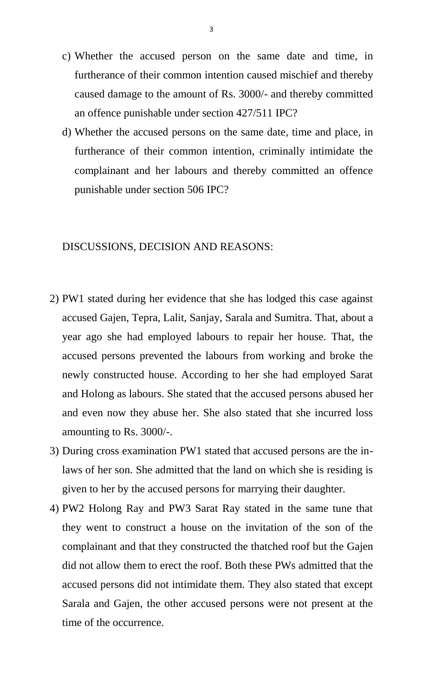- c) Whether the accused person on the same date and time, in furtherance of their common intention caused mischief and thereby caused damage to the amount of Rs. 3000/- and thereby committed an offence punishable under section 427/511 IPC?
- d) Whether the accused persons on the same date, time and place, in furtherance of their common intention, criminally intimidate the complainant and her labours and thereby committed an offence punishable under section 506 IPC?

#### DISCUSSIONS, DECISION AND REASONS:

- 2) PW1 stated during her evidence that she has lodged this case against accused Gajen, Tepra, Lalit, Sanjay, Sarala and Sumitra. That, about a year ago she had employed labours to repair her house. That, the accused persons prevented the labours from working and broke the newly constructed house. According to her she had employed Sarat and Holong as labours. She stated that the accused persons abused her and even now they abuse her. She also stated that she incurred loss amounting to Rs. 3000/-.
- 3) During cross examination PW1 stated that accused persons are the inlaws of her son. She admitted that the land on which she is residing is given to her by the accused persons for marrying their daughter.
- 4) PW2 Holong Ray and PW3 Sarat Ray stated in the same tune that they went to construct a house on the invitation of the son of the complainant and that they constructed the thatched roof but the Gajen did not allow them to erect the roof. Both these PWs admitted that the accused persons did not intimidate them. They also stated that except Sarala and Gajen, the other accused persons were not present at the time of the occurrence.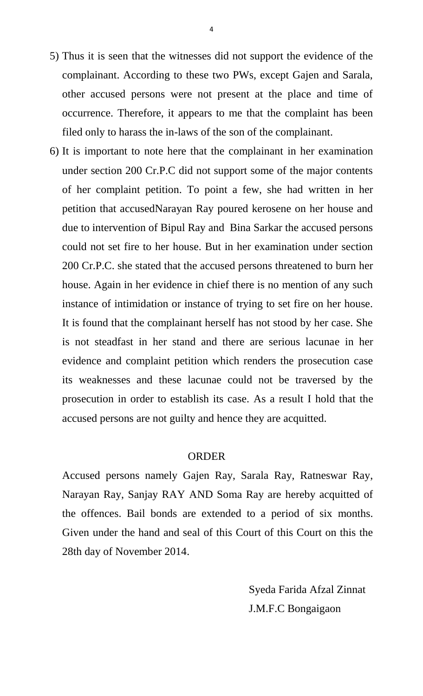- 5) Thus it is seen that the witnesses did not support the evidence of the complainant. According to these two PWs, except Gajen and Sarala, other accused persons were not present at the place and time of occurrence. Therefore, it appears to me that the complaint has been filed only to harass the in-laws of the son of the complainant.
- 6) It is important to note here that the complainant in her examination under section 200 Cr.P.C did not support some of the major contents of her complaint petition. To point a few, she had written in her petition that accusedNarayan Ray poured kerosene on her house and due to intervention of Bipul Ray and Bina Sarkar the accused persons could not set fire to her house. But in her examination under section 200 Cr.P.C. she stated that the accused persons threatened to burn her house. Again in her evidence in chief there is no mention of any such instance of intimidation or instance of trying to set fire on her house. It is found that the complainant herself has not stood by her case. She is not steadfast in her stand and there are serious lacunae in her evidence and complaint petition which renders the prosecution case its weaknesses and these lacunae could not be traversed by the prosecution in order to establish its case. As a result I hold that the accused persons are not guilty and hence they are acquitted.

### ORDER

Accused persons namely Gajen Ray, Sarala Ray, Ratneswar Ray, Narayan Ray, Sanjay RAY AND Soma Ray are hereby acquitted of the offences. Bail bonds are extended to a period of six months. Given under the hand and seal of this Court of this Court on this the 28th day of November 2014.

> Syeda Farida Afzal Zinnat J.M.F.C Bongaigaon